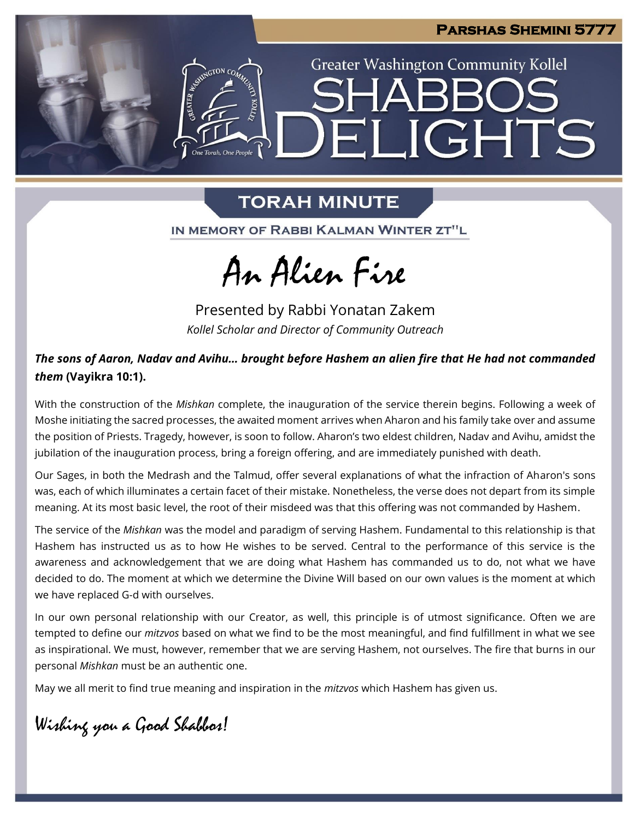

**Greater Washington Community Kollel** 

ELIGHTS

# **TORAH MINUTE**

One Torah. One People

IN MEMORY OF RABBI KALMAN WINTER ZT"L

An Alien Fire

Presented by Rabbi Yonatan Zakem *Kollel Scholar and Director of Community Outreach*

## *The sons of Aaron, Nadav and Avihu… brought before Hashem an alien fire that He had not commanded them* **(Vayikra 10:1).**

With the construction of the *Mishkan* complete, the inauguration of the service therein begins. Following a week of Moshe initiating the sacred processes, the awaited moment arrives when Aharon and his family take over and assume the position of Priests. Tragedy, however, is soon to follow. Aharon's two eldest children, Nadav and Avihu, amidst the jubilation of the inauguration process, bring a foreign offering, and are immediately punished with death.

Our Sages, in both the Medrash and the Talmud, offer several explanations of what the infraction of Aharon's sons was, each of which illuminates a certain facet of their mistake. Nonetheless, the verse does not depart from its simple meaning. At its most basic level, the root of their misdeed was that this offering was not commanded by Hashem.

The service of the *Mishkan* was the model and paradigm of serving Hashem. Fundamental to this relationship is that Hashem has instructed us as to how He wishes to be served. Central to the performance of this service is the awareness and acknowledgement that we are doing what Hashem has commanded us to do, not what we have decided to do. The moment at which we determine the Divine Will based on our own values is the moment at which we have replaced G-d with ourselves.

In our own personal relationship with our Creator, as well, this principle is of utmost significance. Often we are tempted to define our *mitzvos* based on what we find to be the most meaningful, and find fulfillment in what we see as inspirational. We must, however, remember that we are serving Hashem, not ourselves. The fire that burns in our personal *Mishkan* must be an authentic one.

May we all merit to find true meaning and inspiration in the *mitzvos* which Hashem has given us.

Wishing you a Good Shabbos!